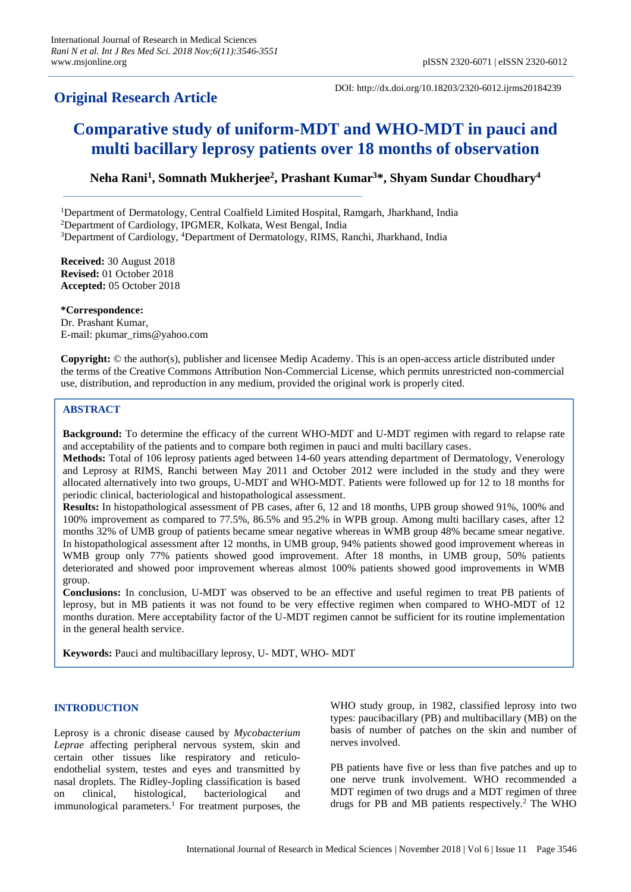# **Original Research Article**

DOI: http://dx.doi.org/10.18203/2320-6012.ijrms20184239

# **Comparative study of uniform-MDT and WHO-MDT in pauci and multi bacillary leprosy patients over 18 months of observation**

**Neha Rani<sup>1</sup> , Somnath Mukherjee<sup>2</sup> , Prashant Kumar<sup>3</sup>\*, Shyam Sundar Choudhary<sup>4</sup>**

<sup>1</sup>Department of Dermatology, Central Coalfield Limited Hospital, Ramgarh, Jharkhand, India

<sup>2</sup>Department of Cardiology, IPGMER, Kolkata, West Bengal, India

<sup>3</sup>Department of Cardiology, <sup>4</sup>Department of Dermatology, RIMS, Ranchi, Jharkhand, India

**Received:** 30 August 2018 **Revised:** 01 October 2018 **Accepted:** 05 October 2018

**\*Correspondence:** Dr. Prashant Kumar, E-mail: pkumar\_rims@yahoo.com

**Copyright:** © the author(s), publisher and licensee Medip Academy. This is an open-access article distributed under the terms of the Creative Commons Attribution Non-Commercial License, which permits unrestricted non-commercial use, distribution, and reproduction in any medium, provided the original work is properly cited.

# **ABSTRACT**

**Background:** To determine the efficacy of the current WHO-MDT and U-MDT regimen with regard to relapse rate and acceptability of the patients and to compare both regimen in pauci and multi bacillary cases.

**Methods:** Total of 106 leprosy patients aged between 14-60 years attending department of Dermatology, Venerology and Leprosy at RIMS, Ranchi between May 2011 and October 2012 were included in the study and they were allocated alternatively into two groups, U-MDT and WHO-MDT. Patients were followed up for 12 to 18 months for periodic clinical, bacteriological and histopathological assessment.

**Results:** In histopathological assessment of PB cases, after 6, 12 and 18 months, UPB group showed 91%, 100% and 100% improvement as compared to 77.5%, 86.5% and 95.2% in WPB group. Among multi bacillary cases, after 12 months 32% of UMB group of patients became smear negative whereas in WMB group 48% became smear negative. In histopathological assessment after 12 months, in UMB group, 94% patients showed good improvement whereas in WMB group only 77% patients showed good improvement. After 18 months, in UMB group, 50% patients deteriorated and showed poor improvement whereas almost 100% patients showed good improvements in WMB group.

**Conclusions:** In conclusion, U-MDT was observed to be an effective and useful regimen to treat PB patients of leprosy, but in MB patients it was not found to be very effective regimen when compared to WHO-MDT of 12 months duration. Mere acceptability factor of the U-MDT regimen cannot be sufficient for its routine implementation in the general health service.

**Keywords:** Pauci and multibacillary leprosy, U- MDT, WHO- MDT

# **INTRODUCTION**

Leprosy is a chronic disease caused by *Mycobacterium Leprae* affecting peripheral nervous system, skin and certain other tissues like respiratory and reticuloendothelial system, testes and eyes and transmitted by nasal droplets. The Ridley-Jopling classification is based on clinical, histological, bacteriological and immunological parameters.<sup>1</sup> For treatment purposes, the WHO study group, in 1982, classified leprosy into two types: paucibacillary (PB) and multibacillary (MB) on the basis of number of patches on the skin and number of nerves involved.

PB patients have five or less than five patches and up to one nerve trunk involvement. WHO recommended a MDT regimen of two drugs and a MDT regimen of three drugs for PB and MB patients respectively.<sup>2</sup> The WHO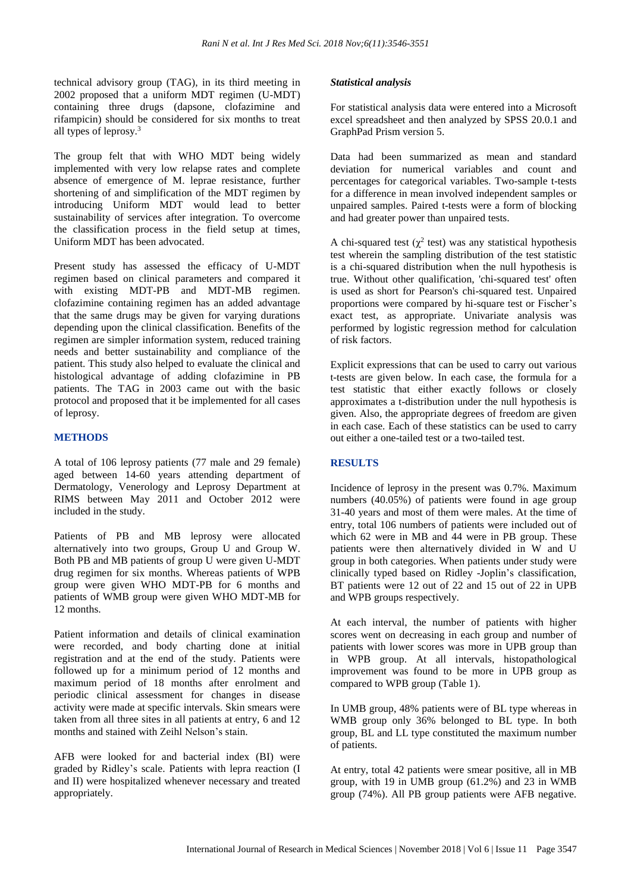technical advisory group (TAG), in its third meeting in 2002 proposed that a uniform MDT regimen (U-MDT) containing three drugs (dapsone, clofazimine and rifampicin) should be considered for six months to treat all types of leprosy.<sup>3</sup>

The group felt that with WHO MDT being widely implemented with very low relapse rates and complete absence of emergence of M. leprae resistance, further shortening of and simplification of the MDT regimen by introducing Uniform MDT would lead to better sustainability of services after integration. To overcome the classification process in the field setup at times, Uniform MDT has been advocated.

Present study has assessed the efficacy of U-MDT regimen based on clinical parameters and compared it with existing MDT-PB and MDT-MB regimen. clofazimine containing regimen has an added advantage that the same drugs may be given for varying durations depending upon the clinical classification. Benefits of the regimen are simpler information system, reduced training needs and better sustainability and compliance of the patient. This study also helped to evaluate the clinical and histological advantage of adding clofazimine in PB patients. The TAG in 2003 came out with the basic protocol and proposed that it be implemented for all cases of leprosy.

# **METHODS**

A total of 106 leprosy patients (77 male and 29 female) aged between 14-60 years attending department of Dermatology, Venerology and Leprosy Department at RIMS between May 2011 and October 2012 were included in the study.

Patients of PB and MB leprosy were allocated alternatively into two groups, Group U and Group W. Both PB and MB patients of group U were given U-MDT drug regimen for six months. Whereas patients of WPB group were given WHO MDT-PB for 6 months and patients of WMB group were given WHO MDT-MB for 12 months.

Patient information and details of clinical examination were recorded, and body charting done at initial registration and at the end of the study. Patients were followed up for a minimum period of 12 months and maximum period of 18 months after enrolment and periodic clinical assessment for changes in disease activity were made at specific intervals. Skin smears were taken from all three sites in all patients at entry, 6 and 12 months and stained with Zeihl Nelson's stain.

AFB were looked for and bacterial index (BI) were graded by Ridley's scale. Patients with lepra reaction (I and II) were hospitalized whenever necessary and treated appropriately.

# *Statistical analysis*

For statistical analysis data were entered into a Microsoft excel spreadsheet and then analyzed by SPSS 20.0.1 and GraphPad Prism version 5.

Data had been summarized as mean and standard deviation for numerical variables and count and percentages for categorical variables. Two-sample t-tests for a difference in mean involved independent samples or unpaired samples. Paired t-tests were a form of blocking and had greater power than unpaired tests.

A chi-squared test ( $\chi^2$  test) was any statistical hypothesis test wherein the sampling distribution of the test statistic is a chi-squared distribution when the null hypothesis is true. Without other qualification, 'chi-squared test' often is used as short for Pearson's chi-squared test. Unpaired proportions were compared by hi-square test or Fischer's exact test, as appropriate. Univariate analysis was performed by logistic regression method for calculation of risk factors.

Explicit expressions that can be used to carry out various t-tests are given below. In each case, the formula for a test statistic that either exactly follows or closely approximates a t-distribution under the null hypothesis is given. Also, the appropriate degrees of freedom are given in each case. Each of these statistics can be used to carry out either a one-tailed test or a two-tailed test.

# **RESULTS**

Incidence of leprosy in the present was 0.7%. Maximum numbers (40.05%) of patients were found in age group 31-40 years and most of them were males. At the time of entry, total 106 numbers of patients were included out of which 62 were in MB and 44 were in PB group. These patients were then alternatively divided in W and U group in both categories. When patients under study were clinically typed based on Ridley -Joplin's classification, BT patients were 12 out of 22 and 15 out of 22 in UPB and WPB groups respectively.

At each interval, the number of patients with higher scores went on decreasing in each group and number of patients with lower scores was more in UPB group than in WPB group. At all intervals, histopathological improvement was found to be more in UPB group as compared to WPB group (Table 1).

In UMB group, 48% patients were of BL type whereas in WMB group only 36% belonged to BL type. In both group, BL and LL type constituted the maximum number of patients.

At entry, total 42 patients were smear positive, all in MB group, with 19 in UMB group (61.2%) and 23 in WMB group (74%). All PB group patients were AFB negative.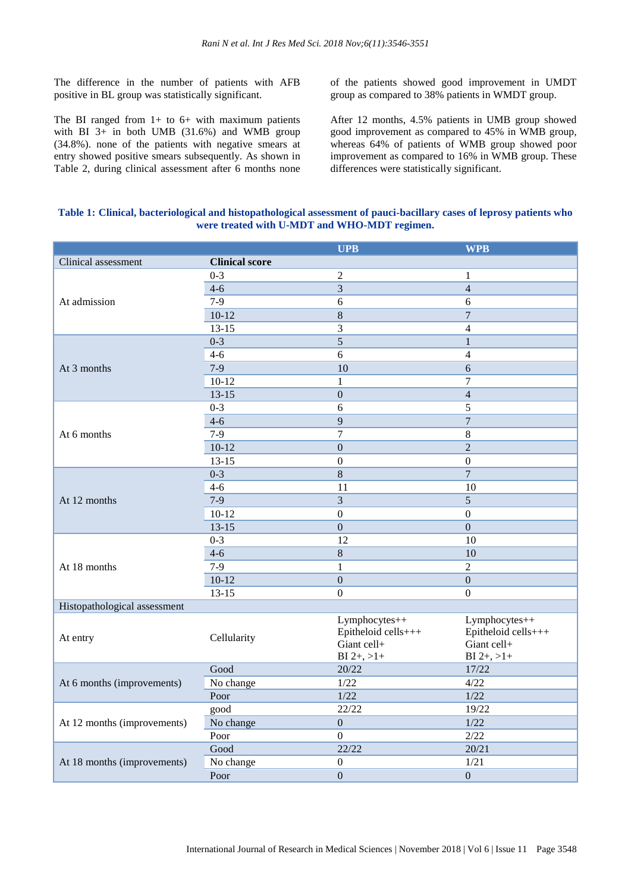The difference in the number of patients with AFB positive in BL group was statistically significant.

The BI ranged from  $1+$  to  $6+$  with maximum patients with BI  $3+$  in both UMB (31.6%) and WMB group (34.8%). none of the patients with negative smears at entry showed positive smears subsequently. As shown in Table 2, during clinical assessment after 6 months none of the patients showed good improvement in UMDT group as compared to 38% patients in WMDT group.

After 12 months, 4.5% patients in UMB group showed good improvement as compared to 45% in WMB group, whereas 64% of patients of WMB group showed poor improvement as compared to 16% in WMB group. These differences were statistically significant.

### **Table 1: Clinical, bacteriological and histopathological assessment of pauci-bacillary cases of leprosy patients who were treated with U-MDT and WHO-MDT regimen.**

|                              |                       | <b>UPB</b>                                                            | <b>WPB</b>                                                                      |
|------------------------------|-----------------------|-----------------------------------------------------------------------|---------------------------------------------------------------------------------|
| Clinical assessment          | <b>Clinical score</b> |                                                                       |                                                                                 |
| At admission                 | $0 - 3$               | $\overline{2}$                                                        | $\mathbf{1}$                                                                    |
|                              | $4 - 6$               | 3                                                                     | $\overline{4}$                                                                  |
|                              | $7-9$                 | 6                                                                     | 6                                                                               |
|                              | $10-12$               | $\,8\,$                                                               | $\overline{7}$                                                                  |
|                              | $13 - 15$             | 3                                                                     | $\overline{4}$                                                                  |
| At 3 months                  | $0 - 3$               | 5                                                                     | $\mathbf{1}$                                                                    |
|                              | $4 - 6$               | 6                                                                     | $\overline{4}$                                                                  |
|                              | $7-9$                 | 10                                                                    | 6                                                                               |
|                              | $10-12$               | 1                                                                     | $\tau$                                                                          |
|                              | $13 - 15$             | $\mathbf{0}$                                                          | $\overline{4}$                                                                  |
| At 6 months                  | $0 - 3$               | 6                                                                     | 5                                                                               |
|                              | $4 - 6$               | $\overline{9}$                                                        | $\overline{7}$                                                                  |
|                              | $7-9$                 | $\overline{7}$                                                        | $\,8\,$                                                                         |
|                              | $10-12$               | $\overline{0}$                                                        | $\overline{2}$                                                                  |
|                              | $13 - 15$             | $\mathbf{0}$                                                          | $\theta$                                                                        |
|                              | $0 - 3$               | $\overline{8}$                                                        | $\overline{7}$                                                                  |
|                              | $4 - 6$               | 11                                                                    | 10                                                                              |
| At 12 months                 | $7 - 9$               | $\overline{3}$                                                        | $\overline{5}$                                                                  |
|                              | $10-12$               | $\boldsymbol{0}$                                                      | $\boldsymbol{0}$                                                                |
|                              | $13 - 15$             | $\mathbf{0}$                                                          | $\overline{0}$                                                                  |
| At 18 months                 | $0 - 3$               | 12                                                                    | 10                                                                              |
|                              | $4 - 6$               | $\,8\,$                                                               | 10                                                                              |
|                              | $7 - 9$               | $\mathbf{1}$                                                          | $\overline{2}$                                                                  |
|                              | $10-12$               | $\overline{0}$                                                        | $\overline{0}$                                                                  |
|                              | $13 - 15$             | $\mathbf{0}$                                                          | $\overline{0}$                                                                  |
| Histopathological assessment |                       |                                                                       |                                                                                 |
| At entry                     | Cellularity           | Lymphocytes++<br>Epitheloid cells+++<br>Giant cell+<br>$BI$ 2+, $>1+$ | Lymphocytes++<br>Epitheloid cells+++<br>Giant cell+<br>$B\underline{I} 2+, >1+$ |
| At 6 months (improvements)   | Good                  | 20/22                                                                 | 17/22                                                                           |
|                              | No change             | 1/22                                                                  | 4/22                                                                            |
|                              | Poor                  | 1/22                                                                  | 1/22                                                                            |
| At 12 months (improvements)  | good                  | 22/22                                                                 | 19/22                                                                           |
|                              | No change             | $\boldsymbol{0}$                                                      | 1/22                                                                            |
|                              | Poor                  | $\overline{0}$                                                        | 2/22                                                                            |
| At 18 months (improvements)  | Good                  | 22/22                                                                 | 20/21                                                                           |
|                              | No change             | $\boldsymbol{0}$                                                      | 1/21                                                                            |
|                              | Poor                  | $\boldsymbol{0}$                                                      | $\boldsymbol{0}$                                                                |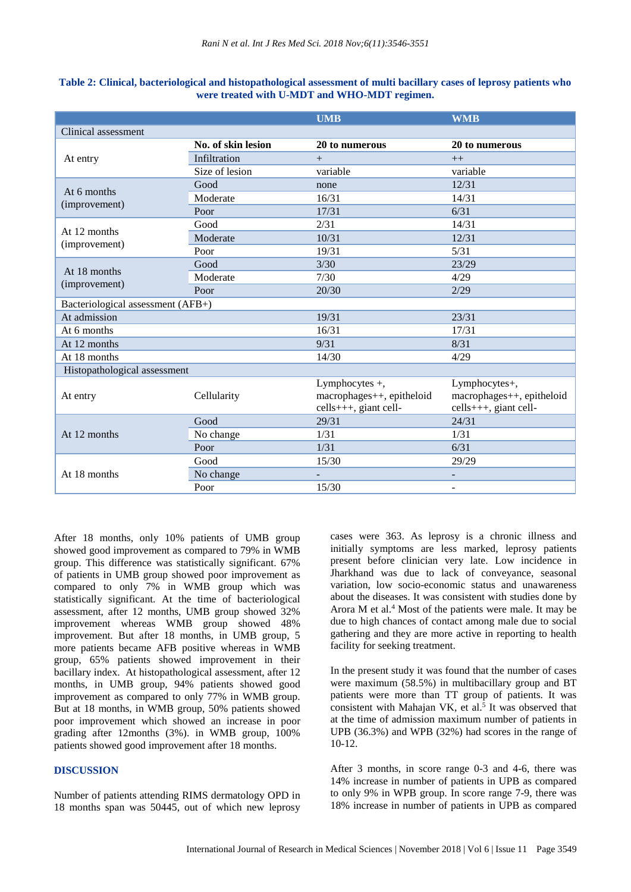|                                   |                    | <b>UMB</b>                                                             | <b>WMB</b>                                                          |  |  |
|-----------------------------------|--------------------|------------------------------------------------------------------------|---------------------------------------------------------------------|--|--|
| Clinical assessment               |                    |                                                                        |                                                                     |  |  |
| At entry                          | No. of skin lesion | 20 to numerous                                                         | 20 to numerous                                                      |  |  |
|                                   | Infiltration       | $^{+}$                                                                 | $++$                                                                |  |  |
|                                   | Size of lesion     | variable                                                               | variable                                                            |  |  |
| At 6 months<br>(improvement)      | Good               | none                                                                   | 12/31                                                               |  |  |
|                                   | Moderate           | 16/31                                                                  | 14/31                                                               |  |  |
|                                   | Poor               | 17/31                                                                  | 6/31                                                                |  |  |
| At 12 months<br>(improvement)     | Good               | 2/31                                                                   | 14/31                                                               |  |  |
|                                   | Moderate           | 10/31                                                                  | 12/31                                                               |  |  |
|                                   | Poor               | 19/31                                                                  | 5/31                                                                |  |  |
| At 18 months<br>(improvement)     | Good               | 3/30                                                                   | 23/29                                                               |  |  |
|                                   | Moderate           | 7/30                                                                   | 4/29                                                                |  |  |
|                                   | Poor               | 20/30                                                                  | 2/29                                                                |  |  |
| Bacteriological assessment (AFB+) |                    |                                                                        |                                                                     |  |  |
| At admission                      |                    | 19/31                                                                  | 23/31                                                               |  |  |
| At 6 months                       |                    | 16/31                                                                  | 17/31                                                               |  |  |
| At 12 months                      |                    | 9/31                                                                   | 8/31                                                                |  |  |
| At 18 months                      |                    | 14/30                                                                  | 4/29                                                                |  |  |
| Histopathological assessment      |                    |                                                                        |                                                                     |  |  |
| At entry                          | Cellularity        | Lymphocytes $+,$<br>macrophages++, epitheloid<br>cells+++, giant cell- | Lymphocytes+,<br>macrophages++, epitheloid<br>cells+++, giant cell- |  |  |
| At 12 months                      | Good               | 29/31                                                                  | 24/31                                                               |  |  |
|                                   | No change          | 1/31                                                                   | 1/31                                                                |  |  |
|                                   | Poor               | 1/31                                                                   | 6/31                                                                |  |  |
| At 18 months                      | Good               | 15/30                                                                  | 29/29                                                               |  |  |
|                                   | No change          |                                                                        |                                                                     |  |  |
|                                   | Poor               | 15/30                                                                  | -                                                                   |  |  |

#### **Table 2: Clinical, bacteriological and histopathological assessment of multi bacillary cases of leprosy patients who were treated with U-MDT and WHO-MDT regimen.**

After 18 months, only 10% patients of UMB group showed good improvement as compared to 79% in WMB group. This difference was statistically significant. 67% of patients in UMB group showed poor improvement as compared to only 7% in WMB group which was statistically significant. At the time of bacteriological assessment, after 12 months, UMB group showed 32% improvement whereas WMB group showed 48% improvement. But after 18 months, in UMB group, 5 more patients became AFB positive whereas in WMB group, 65% patients showed improvement in their bacillary index. At histopathological assessment, after 12 months, in UMB group, 94% patients showed good improvement as compared to only 77% in WMB group. But at 18 months, in WMB group, 50% patients showed poor improvement which showed an increase in poor grading after 12months (3%). in WMB group, 100% patients showed good improvement after 18 months.

# **DISCUSSION**

Number of patients attending RIMS dermatology OPD in 18 months span was 50445, out of which new leprosy cases were 363. As leprosy is a chronic illness and initially symptoms are less marked, leprosy patients present before clinician very late. Low incidence in Jharkhand was due to lack of conveyance, seasonal variation, low socio-economic status and unawareness about the diseases. It was consistent with studies done by Arora M et al. $4$  Most of the patients were male. It may be due to high chances of contact among male due to social gathering and they are more active in reporting to health facility for seeking treatment.

In the present study it was found that the number of cases were maximum (58.5%) in multibacillary group and BT patients were more than TT group of patients. It was consistent with Mahajan VK, et al.<sup>5</sup> It was observed that at the time of admission maximum number of patients in UPB (36.3%) and WPB (32%) had scores in the range of 10-12.

After 3 months, in score range 0-3 and 4-6, there was 14% increase in number of patients in UPB as compared to only 9% in WPB group. In score range 7-9, there was 18% increase in number of patients in UPB as compared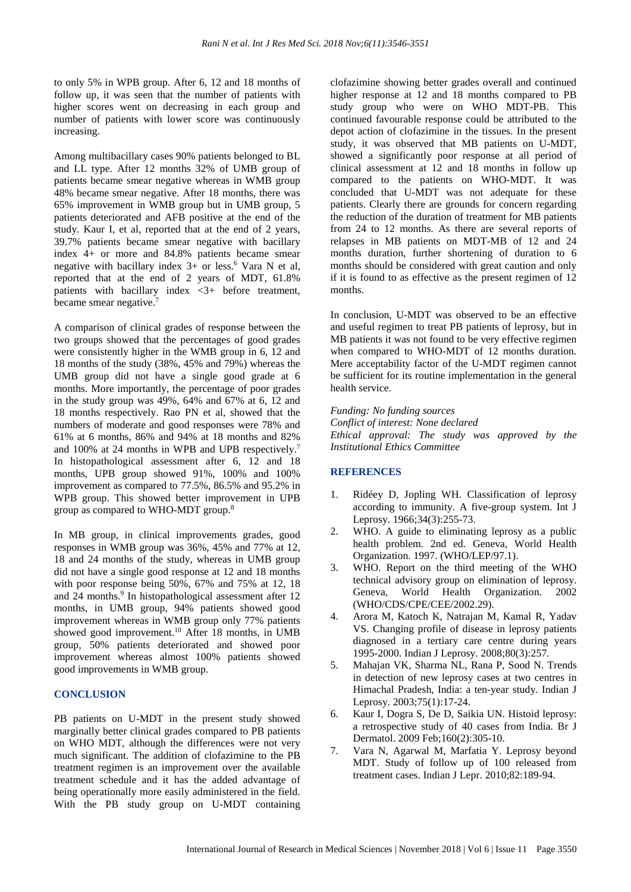to only 5% in WPB group. After 6, 12 and 18 months of follow up, it was seen that the number of patients with higher scores went on decreasing in each group and number of patients with lower score was continuously increasing.

Among multibacillary cases 90% patients belonged to BL and LL type. After 12 months 32% of UMB group of patients became smear negative whereas in WMB group 48% became smear negative. After 18 months, there was 65% improvement in WMB group but in UMB group, 5 patients deteriorated and AFB positive at the end of the study. Kaur I, et al, reported that at the end of 2 years, 39.7% patients became smear negative with bacillary index 4+ or more and 84.8% patients became smear negative with bacillary index  $3+$  or less.<sup>6</sup> Vara N et al, reported that at the end of 2 years of MDT, 61.8% patients with bacillary index <3+ before treatment, became smear negative.<sup>7</sup>

A comparison of clinical grades of response between the two groups showed that the percentages of good grades were consistently higher in the WMB group in 6, 12 and 18 months of the study (38%, 45% and 79%) whereas the UMB group did not have a single good grade at 6 months. More importantly, the percentage of poor grades in the study group was 49%, 64% and 67% at 6, 12 and 18 months respectively. Rao PN et al, showed that the numbers of moderate and good responses were 78% and 61% at 6 months, 86% and 94% at 18 months and 82% and 100% at 24 months in WPB and UPB respectively.<sup>7</sup> In histopathological assessment after 6, 12 and 18 months, UPB group showed 91%, 100% and 100% improvement as compared to 77.5%, 86.5% and 95.2% in WPB group. This showed better improvement in UPB group as compared to WHO-MDT group.<sup>8</sup>

In MB group, in clinical improvements grades, good responses in WMB group was 36%, 45% and 77% at 12, 18 and 24 months of the study, whereas in UMB group did not have a single good response at 12 and 18 months with poor response being 50%, 67% and 75% at 12, 18 and 24 months.<sup>9</sup> In histopathological assessment after 12 months, in UMB group, 94% patients showed good improvement whereas in WMB group only 77% patients showed good improvement.<sup>10</sup> After 18 months, in UMB group, 50% patients deteriorated and showed poor improvement whereas almost 100% patients showed good improvements in WMB group.

### **CONCLUSION**

PB patients on U-MDT in the present study showed marginally better clinical grades compared to PB patients on WHO MDT, although the differences were not very much significant. The addition of clofazimine to the PB treatment regimen is an improvement over the available treatment schedule and it has the added advantage of being operationally more easily administered in the field. With the PB study group on U-MDT containing clofazimine showing better grades overall and continued higher response at 12 and 18 months compared to PB study group who were on WHO MDT-PB. This continued favourable response could be attributed to the depot action of clofazimine in the tissues. In the present study, it was observed that MB patients on U-MDT, showed a significantly poor response at all period of clinical assessment at 12 and 18 months in follow up compared to the patients on WHO-MDT. It was concluded that U-MDT was not adequate for these patients. Clearly there are grounds for concern regarding the reduction of the duration of treatment for MB patients from 24 to 12 months. As there are several reports of relapses in MB patients on MDT-MB of 12 and 24 months duration, further shortening of duration to 6 months should be considered with great caution and only if it is found to as effective as the present regimen of 12 months.

In conclusion, U-MDT was observed to be an effective and useful regimen to treat PB patients of leprosy, but in MB patients it was not found to be very effective regimen when compared to WHO-MDT of 12 months duration. Mere acceptability factor of the U-MDT regimen cannot be sufficient for its routine implementation in the general health service.

*Funding: No funding sources Conflict of interest: None declared Ethical approval: The study was approved by the Institutional Ethics Committee*

# **REFERENCES**

- 1. Ridéey D, Jopling WH. Classification of leprosy according to immunity. A five-group system. Int J Leprosy. 1966;34(3):255-73.
- 2. WHO. A guide to eliminating leprosy as a public health problem. 2nd ed. Geneva, World Health Organization. 1997. (WHO/LEP/97.1).
- 3. WHO. Report on the third meeting of the WHO technical advisory group on elimination of leprosy. Geneva, World Health Organization. 2002 (WHO/CDS/CPE/CEE/2002.29).
- 4. Arora M, Katoch K, Natrajan M, Kamal R, Yadav VS. Changing profile of disease in leprosy patients diagnosed in a tertiary care centre during years 1995-2000. Indian J Leprosy. 2008;80(3):257.
- 5. Mahajan VK, Sharma NL, Rana P, Sood N. Trends in detection of new leprosy cases at two centres in Himachal Pradesh, India: a ten-year study. Indian J Leprosy. 2003;75(1):17-24.
- 6. Kaur I, Dogra S, De D, Saikia UN. Histoid leprosy: a retrospective study of 40 cases from India. Br J Dermatol. 2009 Feb;160(2):305-10.
- 7. Vara N, Agarwal M, Marfatia Y. Leprosy beyond MDT. Study of follow up of 100 released from treatment cases. Indian J Lepr. 2010;82:189-94.